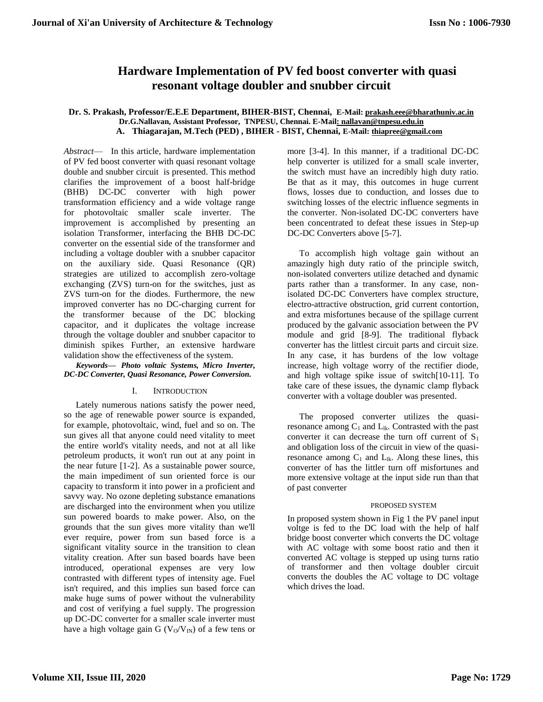# **Hardware Implementation of PV fed boost converter with quasi resonant voltage doubler and snubber circuit**

### **Dr. S. Prakash, Professor/E.E.E Department, BIHER-BIST, Chennai, E-Mail: [prakash.eee@bharathuniv.ac.in](mailto:prakash.eee@bharathuniv.ac.in) Dr.G.Nallavan, Assistant Professor, TNPESU, Chennai. E-Ma[il: nallavan@tnpesu.edu.in](:%20nallavan@tnpesu.edu.in) A. Thiagarajan, M.Tech (PED) , BIHER - BIST, Chennai, E-Mail: [thiapree@gmail.com](mailto:thiapree@gmail.com)**

*Abstract*— In this article, hardware implementation of PV fed boost converter with quasi resonant voltage double and snubber circuit is presented. This method clarifies the improvement of a boost half-bridge (BHB) DC-DC converter with high power transformation efficiency and a wide voltage range for photovoltaic smaller scale inverter. The improvement is accomplished by presenting an isolation Transformer, interfacing the BHB DC-DC converter on the essential side of the transformer and including a voltage doubler with a snubber capacitor on the auxiliary side. Quasi Resonance (QR) strategies are utilized to accomplish zero-voltage exchanging (ZVS) turn-on for the switches, just as ZVS turn-on for the diodes. Furthermore, the new improved converter has no DC-charging current for the transformer because of the DC blocking capacitor, and it duplicates the voltage increase through the voltage doubler and snubber capacitor to diminish spikes Further, an extensive hardware validation show the effectiveness of the system.

*Keywords— Photo voltaic Systems, Micro Inverter, DC-DC Converter, Quasi Resonance, Power Conversion.*

### I. INTRODUCTION

Lately numerous nations satisfy the power need, so the age of renewable power source is expanded, for example, photovoltaic, wind, fuel and so on. The sun gives all that anyone could need vitality to meet the entire world's vitality needs, and not at all like petroleum products, it won't run out at any point in the near future [1-2]. As a sustainable power source, the main impediment of sun oriented force is our capacity to transform it into power in a proficient and savvy way. No ozone depleting substance emanations are discharged into the environment when you utilize sun powered boards to make power. Also, on the grounds that the sun gives more vitality than we'll ever require, power from sun based force is a significant vitality source in the transition to clean vitality creation. After sun based boards have been introduced, operational expenses are very low contrasted with different types of intensity age. Fuel isn't required, and this implies sun based force can make huge sums of power without the vulnerability and cost of verifying a fuel supply. The progression up DC-DC converter for a smaller scale inverter must have a high voltage gain G ( $V<sub>O</sub>/V<sub>IN</sub>$ ) of a few tens or more [3-4]. In this manner, if a traditional DC-DC help converter is utilized for a small scale inverter, the switch must have an incredibly high duty ratio. Be that as it may, this outcomes in huge current flows, losses due to conduction, and losses due to switching losses of the electric influence segments in the converter. Non-isolated DC-DC converters have been concentrated to defeat these issues in Step-up DC-DC Converters above [5-7].

To accomplish high voltage gain without an amazingly high duty ratio of the principle switch, non-isolated converters utilize detached and dynamic parts rather than a transformer. In any case, nonisolated DC-DC Converters have complex structure, electro-attractive obstruction, grid current contortion, and extra misfortunes because of the spillage current produced by the galvanic association between the PV module and grid [8-9]. The traditional flyback converter has the littlest circuit parts and circuit size. In any case, it has burdens of the low voltage increase, high voltage worry of the rectifier diode, and high voltage spike issue of switch[10-11]. To take care of these issues, the dynamic clamp flyback converter with a voltage doubler was presented.

The proposed converter utilizes the quasiresonance among  $C_1$  and  $L_{lk}$ . Contrasted with the past converter it can decrease the turn off current of  $S_1$ and obligation loss of the circuit in view of the quasiresonance among  $C_1$  and  $L_{lk}$ . Along these lines, this converter of has the littler turn off misfortunes and more extensive voltage at the input side run than that of past converter

### PROPOSED SYSTEM

In proposed system shown in Fig 1 the PV panel input voltge is fed to the DC load with the help of half bridge boost converter which converts the DC voltage with AC voltage with some boost ratio and then it converted AC voltage is stepped up using turns ratio of transformer and then voltage doubler circuit converts the doubles the AC voltage to DC voltage which drives the load.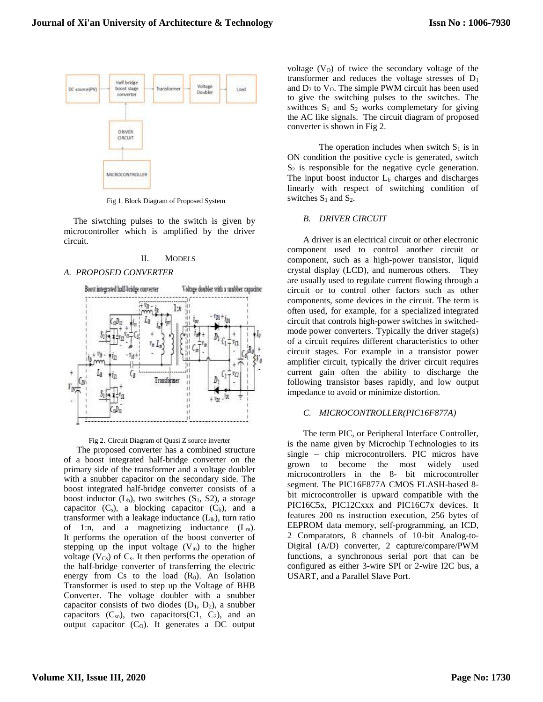

Fig 1. Block Diagram of Proposed System

The siwtching pulses to the switch is given by microcontroller which is amplified by the driver circuit.

#### II. MODELS

#### *A. PROPOSED CONVERTER*



#### Fig 2. Circuit Diagram of Quasi Z source inverter

The proposed converter has a combined structure of a boost integrated half-bridge converter on the primary side of the transformer and a voltage doubler with a snubber capacitor on the secondary side. The boost integrated half-bridge converter consists of a boost inductor  $(L_b)$ , two switches  $(S_1, S_2)$ , a storage capacitor  $(C_s)$ , a blocking capacitor  $(C_b)$ , and a transformer with a leakage inductance  $(L_{lk})$ , turn ratio of 1:n, and a magnetizing inductance  $(L_m)$ . It performs the operation of the boost converter of stepping up the input voltage  $(V_{in})$  to the higher voltage ( $V_{Cs}$ ) of  $C_s$ . It then performs the operation of the half-bridge converter of transferring the electric energy from  $Cs$  to the load  $(R_0)$ . An Isolation Transformer is used to step up the Voltage of BHB Converter. The voltage doubler with a snubber capacitor consists of two diodes  $(D_1, D_2)$ , a snubber capacitors  $(C_{sn})$ , two capacitors  $(C1, C_2)$ , and an output capacitor  $(C_0)$ . It generates a DC output

voltage  $(V<sub>0</sub>)$  of twice the secondary voltage of the transformer and reduces the voltage stresses of  $D_1$ and  $D_2$  to  $V_0$ . The simple PWM circuit has been used to give the switching pulses to the switches. The swithces  $S_1$  and  $S_2$  works complemetary for giving the AC like signals. The circuit diagram of proposed converter is shown in Fig 2.

The operation includes when switch  $S_1$  is in ON condition the positive cycle is generated, switch  $S_2$  is responsible for the negative cycle generation. The input boost inductor  $L<sub>b</sub>$  charges and discharges linearly with respect of switching condition of switches  $S_1$  and  $S_2$ .

### *B. DRIVER CIRCUIT*

A driver is an electrical circuit or other electronic component used to control another circuit or component, such as a high-power transistor, liquid crystal display (LCD), and numerous others. They are usually used to regulate current flowing through a circuit or to control other factors such as other components, some devices in the circuit. The term is often used, for example, for a specialized integrated circuit that controls high-power switches in switchedmode power converters. Typically the driver stage(s) of a circuit requires different characteristics to other circuit stages. For example in a transistor power amplifier circuit, typically the driver circuit requires current gain often the ability to discharge the following transistor bases rapidly, and low output impedance to avoid or minimize distortion.

### *C. MICROCONTROLLER(PIC16F877A)*

The term PIC, or Peripheral Interface Controller, is the name given by Microchip Technologies to its single – chip microcontrollers. PIC micros have grown to become the most widely used microcontrollers in the 8- bit microcontroller segment. The PIC16F877A CMOS FLASH-based 8 bit microcontroller is upward compatible with the PIC16C5x, PIC12Cxxx and PIC16C7x devices. It features 200 ns instruction execution, 256 bytes of EEPROM data memory, self-programming, an ICD, 2 Comparators, 8 channels of 10-bit Analog-to-Digital (A/D) converter, 2 capture/compare/PWM functions, a synchronous serial port that can be configured as either 3-wire SPI or 2-wire I2C bus, a USART, and a Parallel Slave Port.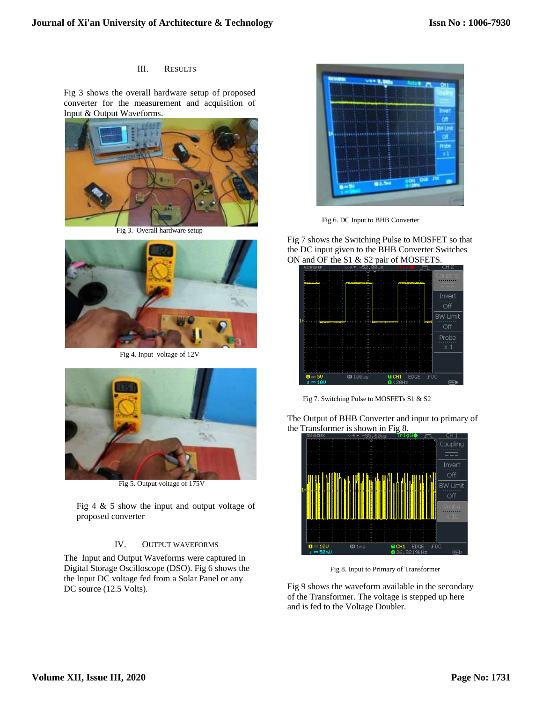## III. RESULTS

Fig 3 shows the overall hardware setup of proposed converter for the measurement and acquisition of Input & Output Waveforms.



Fig 3. Overall hardware setup



Fig 4. Input voltage of 12V



Fig 5. Output voltage of 175V

Fig 4 & 5 show the input and output voltage of proposed converter

## IV. OUTPUT WAVEFORMS

The Input and Output Waveforms were captured in Digital Storage Oscilloscope (DSO). Fig 6 shows the the Input DC voltage fed from a Solar Panel or any DC source (12.5 Volts).



Fig 6. DC Input to BHB Converter

Fig 7 shows the Switching Pulse to MOSFET so that the DC input given to the BHB Converter Switches ON and OF the S1 & S2 pair of MOSFETS.



Fig 7. Switching Pulse to MOSFETs S1 & S2

The Output of BHB Converter and input to primary of the Transformer is shown in Fig 8.



Fig 8. Input to Primary of Transformer

Fig 9 shows the waveform available in the secondary of the Transformer. The voltage is stepped up here and is fed to the Voltage Doubler.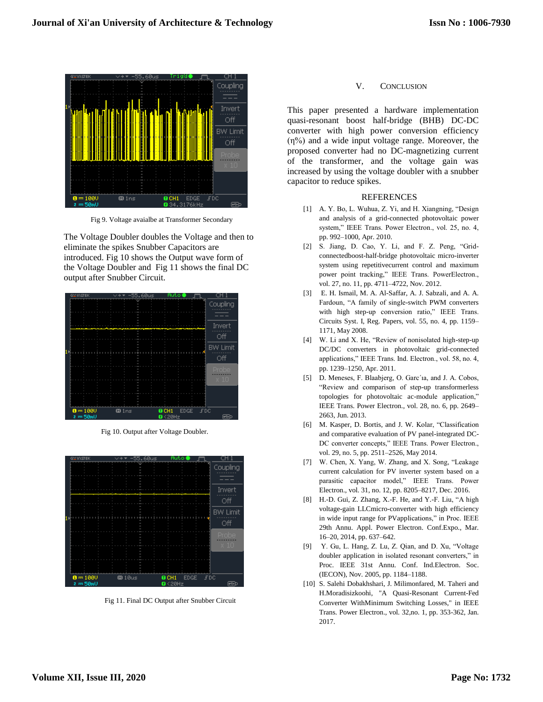

Fig 9. Voltage avaialbe at Transformer Secondary

The Voltage Doubler doubles the Voltage and then to eliminate the spikes Snubber Capacitors are introduced. Fig 10 shows the Output wave form of the Voltage Doubler and Fig 11 shows the final DC output after Snubber Circuit.

| GWIOSTEK    | 55.60us<br>$\sim$ 4 | Auto                   |                 |
|-------------|---------------------|------------------------|-----------------|
|             |                     | E                      | Coupling        |
|             |                     |                        |                 |
|             |                     |                        | Invert          |
|             |                     |                        | Off             |
|             |                     |                        | <b>BW Limit</b> |
|             |                     |                        | Off             |
|             |                     |                        | Probe           |
|             |                     |                        | $\times 10$     |
|             |                     |                        |                 |
|             |                     |                        |                 |
| $0 = 1000$  | 001ns               | $0$ CH1<br><b>EDGE</b> | <b>FDC</b>      |
| $=50m$<br>z |                     | $Q$ <20Hz              | l⊷t             |

Fig 10. Output after Voltage Doubler.



Fig 11. Final DC Output after Snubber Circuit

## V. CONCLUSION

This paper presented a hardware implementation quasi-resonant boost half-bridge (BHB) DC-DC converter with high power conversion efficiency (η%) and a wide input voltage range. Moreover, the proposed converter had no DC-magnetizing current of the transformer, and the voltage gain was increased by using the voltage doubler with a snubber capacitor to reduce spikes.

## REFERENCES

- [1] A. Y. Bo, L. Wuhua, Z. Yi, and H. Xiangning, "Design and analysis of a grid-connected photovoltaic power system," IEEE Trans. Power Electron., vol. 25, no. 4, pp. 992–1000, Apr. 2010.
- [2] S. Jiang, D. Cao, Y. Li, and F. Z. Peng, "Gridconnectedboost-half-bridge photovoltaic micro-inverter system using repetitivecurrent control and maximum power point tracking," IEEE Trans. PowerElectron., vol. 27, no. 11, pp. 4711–4722, Nov. 2012.
- [3] E. H. Ismail, M. A. Al-Saffar, A. J. Sabzali, and A. A. Fardoun, "A family of single-switch PWM converters with high step-up conversion ratio," IEEE Trans. Circuits Syst. I, Reg. Papers, vol. 55, no. 4, pp. 1159– 1171, May 2008.
- [4] W. Li and X. He, "Review of nonisolated high-step-up DC/DC converters in photovoltaic grid-connected applications," IEEE Trans. Ind. Electron., vol. 58, no. 4, pp. 1239–1250, Apr. 2011.
- [5] D. Meneses, F. Blaabjerg, O. Garc´ıa, and J. A. Cobos, "Review and comparison of step-up transformerless topologies for photovoltaic ac-module application," IEEE Trans. Power Electron., vol. 28, no. 6, pp. 2649– 2663, Jun. 2013.
- [6] M. Kasper, D. Bortis, and J. W. Kolar, "Classification and comparative evaluation of PV panel-integrated DC-DC converter concepts," IEEE Trans. Power Electron., vol. 29, no. 5, pp. 2511–2526, May 2014.
- [7] W. Chen, X. Yang, W. Zhang, and X. Song, "Leakage current calculation for PV inverter system based on a parasitic capacitor model," IEEE Trans. Power Electron., vol. 31, no. 12, pp. 8205–8217, Dec. 2016.
- [8] H.-D. Gui, Z. Zhang, X.-F. He, and Y.-F. Liu, "A high voltage-gain LLCmicro-converter with high efficiency in wide input range for PVapplications," in Proc. IEEE 29th Annu. Appl. Power Electron. Conf.Expo., Mar. 16–20, 2014, pp. 637–642.
- [9] Y. Gu, L. Hang, Z. Lu, Z. Qian, and D. Xu, "Voltage doubler application in isolated resonant converters," in Proc. IEEE 31st Annu. Conf. Ind.Electron. Soc. (IECON), Nov. 2005, pp. 1184–1188.
- [10] S. Salehi Dobakhshari, J. Milimonfared, M. Taheri and H.Moradisizkoohi, "A Quasi-Resonant Current-Fed Converter WithMinimum Switching Losses," in IEEE Trans. Power Electron., vol. 32,no. 1, pp. 353-362, Jan. 2017.